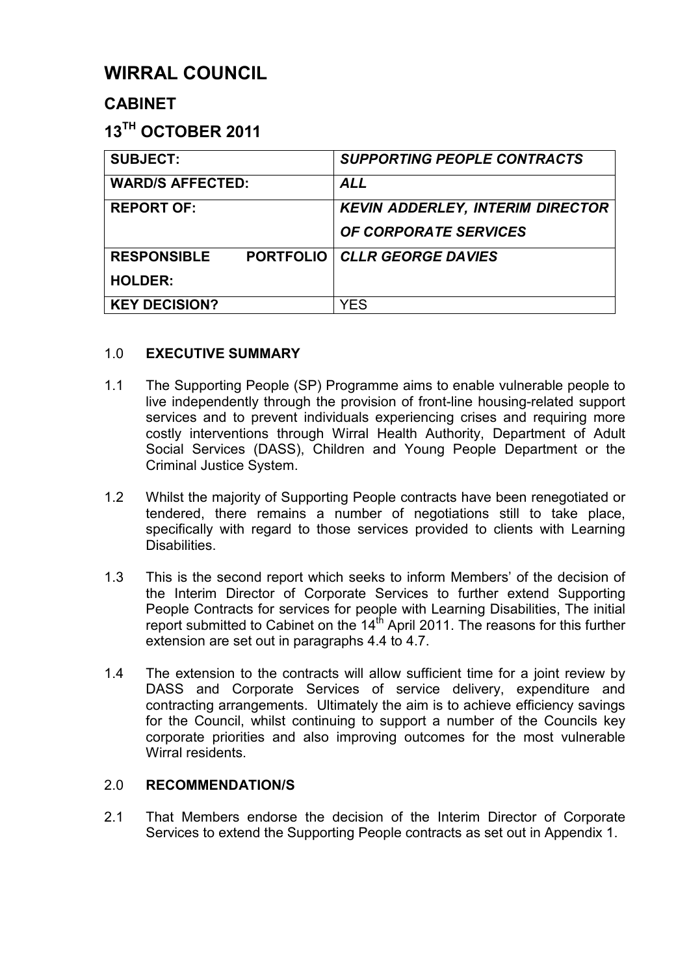# **WIRRAL COUNCIL**

# **CABINET**

# **13TH OCTOBER 2011**

| <b>SUBJECT:</b>         |                  | <b>SUPPORTING PEOPLE CONTRACTS</b>      |
|-------------------------|------------------|-----------------------------------------|
| <b>WARD/S AFFECTED:</b> |                  | <b>ALL</b>                              |
| <b>REPORT OF:</b>       |                  | <b>KEVIN ADDERLEY, INTERIM DIRECTOR</b> |
|                         |                  | <b>OF CORPORATE SERVICES</b>            |
| <b>RESPONSIBLE</b>      | <b>PORTFOLIO</b> | <b>CLLR GEORGE DAVIES</b>               |
| <b>HOLDER:</b>          |                  |                                         |
| <b>KEY DECISION?</b>    |                  | YES                                     |

# 1.0 **EXECUTIVE SUMMARY**

- 1.1 The Supporting People (SP) Programme aims to enable vulnerable people to live independently through the provision of front-line housing-related support services and to prevent individuals experiencing crises and requiring more costly interventions through Wirral Health Authority, Department of Adult Social Services (DASS), Children and Young People Department or the Criminal Justice System.
- 1.2 Whilst the majority of Supporting People contracts have been renegotiated or tendered, there remains a number of negotiations still to take place, specifically with regard to those services provided to clients with Learning Disabilities.
- 1.3 This is the second report which seeks to inform Members' of the decision of the Interim Director of Corporate Services to further extend Supporting People Contracts for services for people with Learning Disabilities, The initial report submitted to Cabinet on the  $14<sup>th</sup>$  April 2011. The reasons for this further extension are set out in paragraphs 4.4 to 4.7.
- 1.4 The extension to the contracts will allow sufficient time for a joint review by DASS and Corporate Services of service delivery, expenditure and contracting arrangements. Ultimately the aim is to achieve efficiency savings for the Council, whilst continuing to support a number of the Councils key corporate priorities and also improving outcomes for the most vulnerable Wirral residents.

# 2.0 **RECOMMENDATION/S**

2.1 That Members endorse the decision of the Interim Director of Corporate Services to extend the Supporting People contracts as set out in Appendix 1.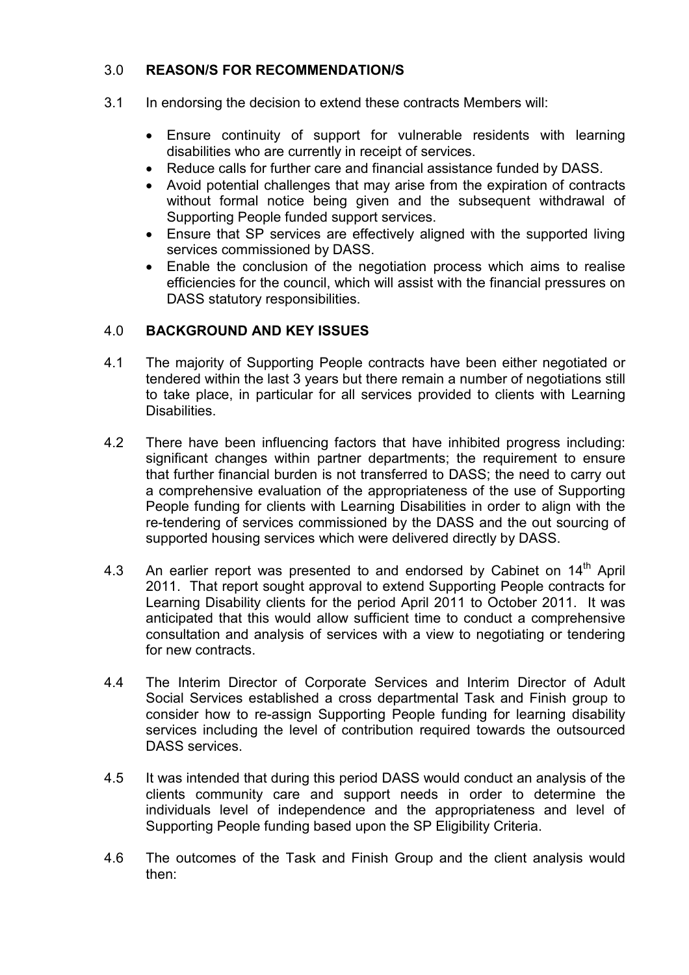# 3.0 **REASON/S FOR RECOMMENDATION/S**

- 3.1 In endorsing the decision to extend these contracts Members will:
	- Ensure continuity of support for vulnerable residents with learning disabilities who are currently in receipt of services.
	- Reduce calls for further care and financial assistance funded by DASS.
	- Avoid potential challenges that may arise from the expiration of contracts without formal notice being given and the subsequent withdrawal of Supporting People funded support services.
	- Ensure that SP services are effectively aligned with the supported living services commissioned by DASS.
	- Enable the conclusion of the negotiation process which aims to realise efficiencies for the council, which will assist with the financial pressures on DASS statutory responsibilities.

# 4.0 **BACKGROUND AND KEY ISSUES**

- 4.1 The majority of Supporting People contracts have been either negotiated or tendered within the last 3 years but there remain a number of negotiations still to take place, in particular for all services provided to clients with Learning Disabilities.
- 4.2 There have been influencing factors that have inhibited progress including: significant changes within partner departments; the requirement to ensure that further financial burden is not transferred to DASS; the need to carry out a comprehensive evaluation of the appropriateness of the use of Supporting People funding for clients with Learning Disabilities in order to align with the re-tendering of services commissioned by the DASS and the out sourcing of supported housing services which were delivered directly by DASS.
- 4.3 An earlier report was presented to and endorsed by Cabinet on 14<sup>th</sup> April 2011. That report sought approval to extend Supporting People contracts for Learning Disability clients for the period April 2011 to October 2011. It was anticipated that this would allow sufficient time to conduct a comprehensive consultation and analysis of services with a view to negotiating or tendering for new contracts.
- 4.4 The Interim Director of Corporate Services and Interim Director of Adult Social Services established a cross departmental Task and Finish group to consider how to re-assign Supporting People funding for learning disability services including the level of contribution required towards the outsourced DASS services.
- 4.5 It was intended that during this period DASS would conduct an analysis of the clients community care and support needs in order to determine the individuals level of independence and the appropriateness and level of Supporting People funding based upon the SP Eligibility Criteria.
- 4.6 The outcomes of the Task and Finish Group and the client analysis would then: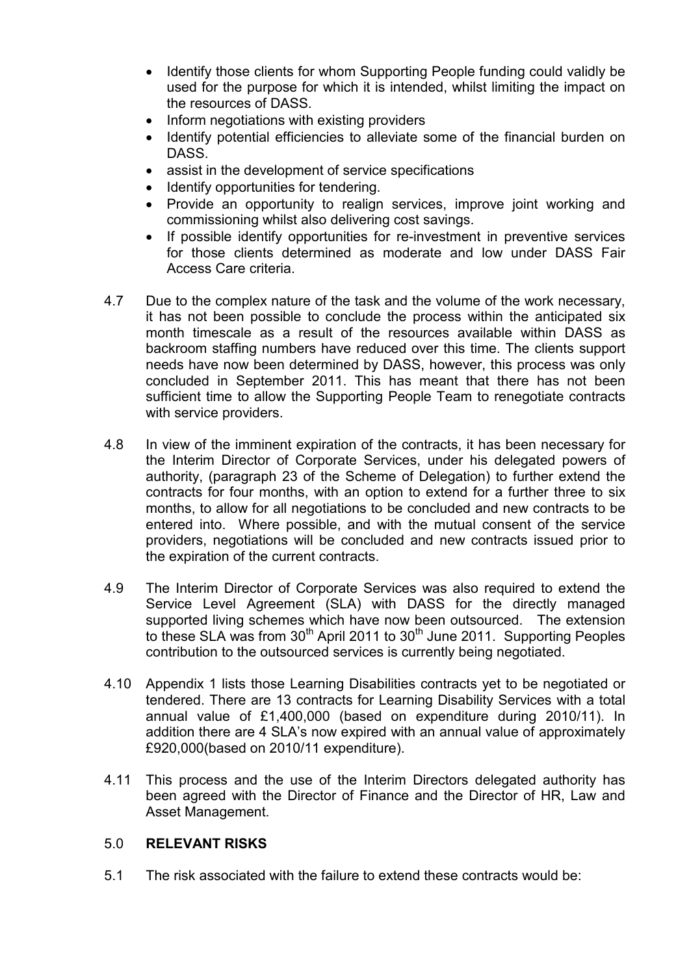- Identify those clients for whom Supporting People funding could validly be used for the purpose for which it is intended, whilst limiting the impact on the resources of DASS.
- Inform negotiations with existing providers
- Identify potential efficiencies to alleviate some of the financial burden on DASS.
- assist in the development of service specifications
- Identify opportunities for tendering.
- Provide an opportunity to realign services, improve joint working and commissioning whilst also delivering cost savings.
- If possible identify opportunities for re-investment in preventive services for those clients determined as moderate and low under DASS Fair Access Care criteria.
- 4.7 Due to the complex nature of the task and the volume of the work necessary, it has not been possible to conclude the process within the anticipated six month timescale as a result of the resources available within DASS as backroom staffing numbers have reduced over this time. The clients support needs have now been determined by DASS, however, this process was only concluded in September 2011. This has meant that there has not been sufficient time to allow the Supporting People Team to renegotiate contracts with service providers.
- 4.8 In view of the imminent expiration of the contracts, it has been necessary for the Interim Director of Corporate Services, under his delegated powers of authority, (paragraph 23 of the Scheme of Delegation) to further extend the contracts for four months, with an option to extend for a further three to six months, to allow for all negotiations to be concluded and new contracts to be entered into. Where possible, and with the mutual consent of the service providers, negotiations will be concluded and new contracts issued prior to the expiration of the current contracts.
- 4.9 The Interim Director of Corporate Services was also required to extend the Service Level Agreement (SLA) with DASS for the directly managed supported living schemes which have now been outsourced. The extension to these SLA was from  $30<sup>th</sup>$  April 2011 to  $30<sup>th</sup>$  June 2011. Supporting Peoples contribution to the outsourced services is currently being negotiated.
- 4.10 Appendix 1 lists those Learning Disabilities contracts yet to be negotiated or tendered. There are 13 contracts for Learning Disability Services with a total annual value of £1,400,000 (based on expenditure during 2010/11). In addition there are 4 SLA's now expired with an annual value of approximately £920,000(based on 2010/11 expenditure).
- 4.11 This process and the use of the Interim Directors delegated authority has been agreed with the Director of Finance and the Director of HR, Law and Asset Management.

#### 5.0 **RELEVANT RISKS**

5.1 The risk associated with the failure to extend these contracts would be: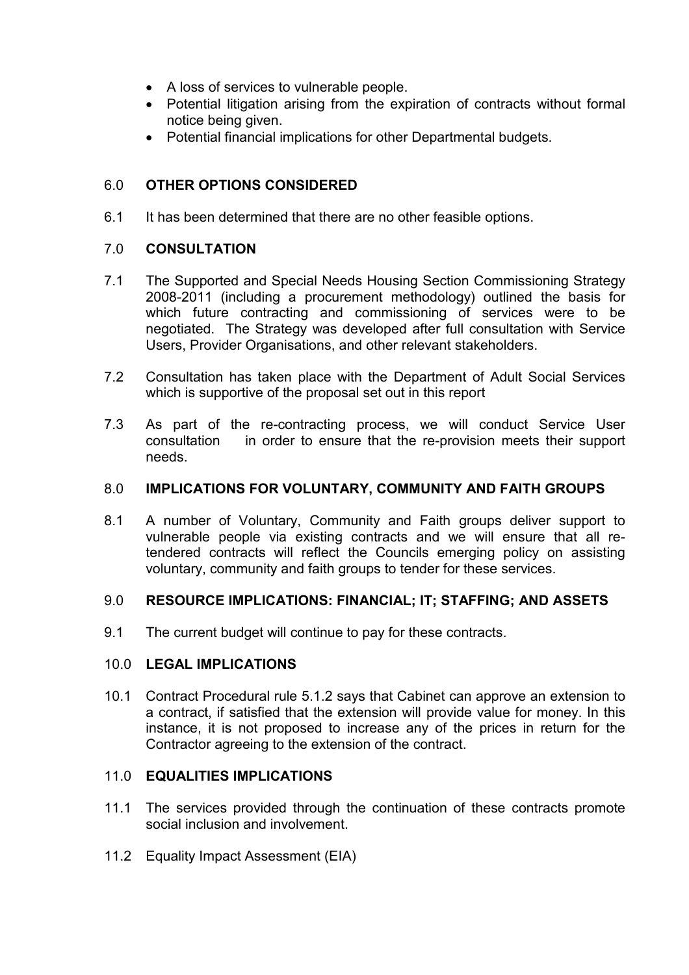- A loss of services to vulnerable people.
- Potential litigation arising from the expiration of contracts without formal notice being given.
- Potential financial implications for other Departmental budgets.

# 6.0 **OTHER OPTIONS CONSIDERED**

6.1 It has been determined that there are no other feasible options.

#### 7.0 **CONSULTATION**

- 7.1 The Supported and Special Needs Housing Section Commissioning Strategy 2008-2011 (including a procurement methodology) outlined the basis for which future contracting and commissioning of services were to be negotiated. The Strategy was developed after full consultation with Service Users, Provider Organisations, and other relevant stakeholders.
- 7.2 Consultation has taken place with the Department of Adult Social Services which is supportive of the proposal set out in this report
- 7.3 As part of the re-contracting process, we will conduct Service User consultation in order to ensure that the re-provision meets their support needs.

#### 8.0 **IMPLICATIONS FOR VOLUNTARY, COMMUNITY AND FAITH GROUPS**

8.1 A number of Voluntary, Community and Faith groups deliver support to vulnerable people via existing contracts and we will ensure that all retendered contracts will reflect the Councils emerging policy on assisting voluntary, community and faith groups to tender for these services.

#### 9.0 **RESOURCE IMPLICATIONS: FINANCIAL; IT; STAFFING; AND ASSETS**

9.1 The current budget will continue to pay for these contracts.

#### 10.0 **LEGAL IMPLICATIONS**

10.1 Contract Procedural rule 5.1.2 says that Cabinet can approve an extension to a contract, if satisfied that the extension will provide value for money. In this instance, it is not proposed to increase any of the prices in return for the Contractor agreeing to the extension of the contract.

#### 11.0 **EQUALITIES IMPLICATIONS**

- 11.1 The services provided through the continuation of these contracts promote social inclusion and involvement.
- 11.2 Equality Impact Assessment (EIA)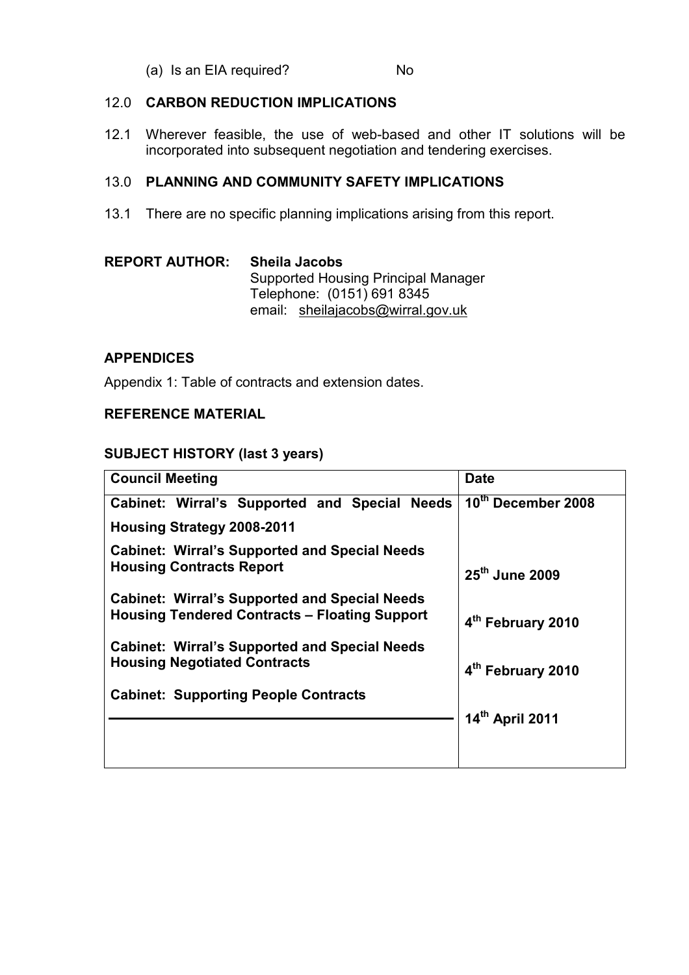(a) Is an EIA required? No

#### 12.0 **CARBON REDUCTION IMPLICATIONS**

12.1 Wherever feasible, the use of web-based and other IT solutions will be incorporated into subsequent negotiation and tendering exercises.

#### 13.0 **PLANNING AND COMMUNITY SAFETY IMPLICATIONS**

13.1 There are no specific planning implications arising from this report.

| <b>REPORT AUTHOR:</b> | <b>Sheila Jacobs</b>                |  |  |
|-----------------------|-------------------------------------|--|--|
|                       | Supported Housing Principal Manager |  |  |
|                       | Telephone: (0151) 691 8345          |  |  |
|                       | email: sheilajacobs@wirral.gov.uk   |  |  |

#### **APPENDICES**

Appendix 1: Table of contracts and extension dates.

#### **REFERENCE MATERIAL**

#### **SUBJECT HISTORY (last 3 years)**

| <b>Council Meeting</b>                               | <b>Date</b>                   |
|------------------------------------------------------|-------------------------------|
| Cabinet: Wirral's Supported and Special Needs        | 10th December 2008            |
| <b>Housing Strategy 2008-2011</b>                    |                               |
| <b>Cabinet: Wirral's Supported and Special Needs</b> |                               |
| <b>Housing Contracts Report</b>                      | 25 <sup>th</sup> June 2009    |
| <b>Cabinet: Wirral's Supported and Special Needs</b> |                               |
| <b>Housing Tendered Contracts - Floating Support</b> | 4th February 2010             |
| <b>Cabinet: Wirral's Supported and Special Needs</b> |                               |
| <b>Housing Negotiated Contracts</b>                  | 4 <sup>th</sup> February 2010 |
| <b>Cabinet: Supporting People Contracts</b>          |                               |
|                                                      | 14th April 2011               |
|                                                      |                               |
|                                                      |                               |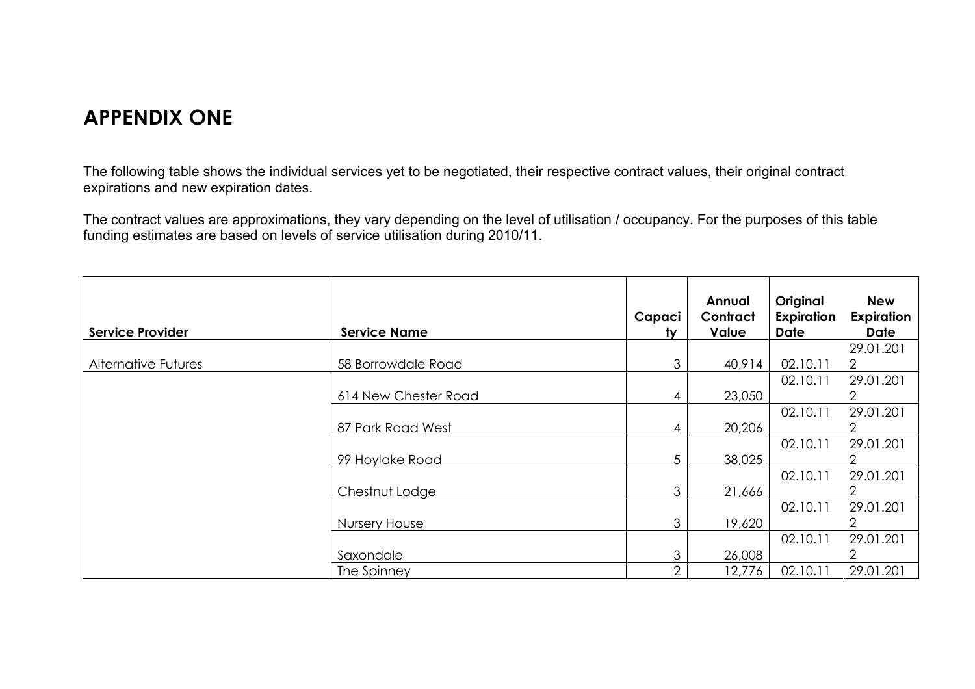# **APPENDIX ONE**

The following table shows the individual services yet to be negotiated, their respective contract values, their original contract expirations and new expiration dates.

The contract values are approximations, they vary depending on the level of utilisation / occupancy. For the purposes of this table funding estimates are based on levels of service utilisation during 2010/11.

| <b>Service Provider</b>    | <b>Service Name</b>  | Capaci<br><u>ty</u> | Annual<br>Contract<br><b>Value</b> | Original<br>Expiration<br>Date | <b>New</b><br><b>Expiration</b><br><b>Date</b> |
|----------------------------|----------------------|---------------------|------------------------------------|--------------------------------|------------------------------------------------|
|                            |                      |                     |                                    |                                | 29.01.201                                      |
| <b>Alternative Futures</b> | 58 Borrowdale Road   | 3                   | 40,914                             | 02.10.11                       | $\overline{2}$                                 |
|                            |                      |                     |                                    | 02.10.11                       | 29.01.201                                      |
|                            | 614 New Chester Road | 4                   | 23,050                             |                                | 2.                                             |
|                            |                      |                     |                                    | 02.10.11                       | 29.01.201                                      |
|                            | 87 Park Road West    | 4                   | 20,206                             |                                |                                                |
|                            |                      |                     |                                    | 02.10.11                       | 29.01.201                                      |
|                            | 99 Hoylake Road      | 5                   | 38,025                             |                                |                                                |
|                            |                      |                     |                                    | 02.10.11                       | 29.01.201                                      |
|                            | Chestnut Lodge       | 3                   | 21,666                             |                                | 2.                                             |
|                            |                      |                     |                                    | 02.10.11                       | 29.01.201                                      |
|                            | <b>Nursery House</b> | 3                   | 19,620                             |                                | 2.                                             |
|                            |                      |                     |                                    | 02.10.11                       | 29.01.201                                      |
|                            | Saxondale            | 3                   | 26,008                             |                                |                                                |
|                            | The Spinney          | っ                   | 12,776                             | 02.10.11                       | 29.01.201                                      |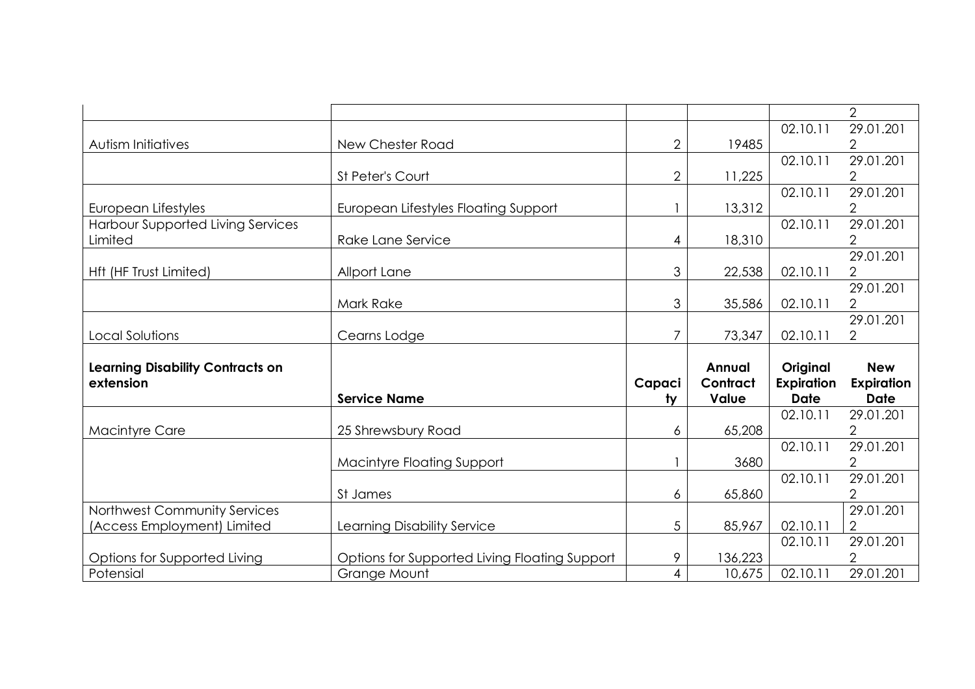|                                          |                                               |                |               |             | $\overline{2}$              |
|------------------------------------------|-----------------------------------------------|----------------|---------------|-------------|-----------------------------|
|                                          |                                               |                |               | 02.10.11    | 29.01.201                   |
| Autism Initiatives                       | New Chester Road                              | $\overline{2}$ | 19485         |             | $\overline{2}$              |
|                                          |                                               |                |               | 02.10.11    | 29.01.201                   |
|                                          | St Peter's Court                              | $\overline{2}$ | 11,225        |             | $\overline{2}$              |
|                                          |                                               |                |               | 02.10.11    | 29.01.201                   |
| European Lifestyles                      | <b>European Lifestyles Floating Support</b>   |                | 13,312        |             | 2                           |
| <b>Harbour Supported Living Services</b> |                                               |                |               | 02.10.11    | 29.01.201                   |
| Limited                                  | Rake Lane Service                             | 4              | 18,310        |             | $\overline{2}$              |
|                                          |                                               |                |               |             | 29.01.201                   |
| Hft (HF Trust Limited)                   | Allport Lane                                  | 3              | 22,538        | 02.10.11    | $\overline{2}$              |
|                                          |                                               |                |               |             | 29.01.201                   |
|                                          | Mark Rake                                     | 3              | 35,586        | 02.10.11    | $\overline{2}$              |
|                                          |                                               |                |               |             | 29.01.201                   |
| Local Solutions                          | Cearns Lodge                                  | 7              | 73,347        | 02.10.11    | $\overline{2}$              |
|                                          |                                               |                |               |             |                             |
|                                          |                                               |                |               |             |                             |
| <b>Learning Disability Contracts on</b>  |                                               |                | <b>Annual</b> | Original    | <b>New</b>                  |
| extension                                |                                               | Capaci         | Contract      | Expiration  | <b>Expiration</b>           |
|                                          | <b>Service Name</b>                           | $1$            | Value         | <b>Date</b> | <b>Date</b>                 |
|                                          |                                               |                |               | 02.10.11    | 29.01.201                   |
| <b>Macintyre Care</b>                    | 25 Shrewsbury Road                            | 6              | 65,208        |             | $\overline{2}$              |
|                                          |                                               |                |               | 02.10.11    | 29.01.201                   |
|                                          | <b>Macintyre Floating Support</b>             |                | 3680          |             | $\overline{2}$              |
|                                          |                                               |                |               | 02.10.11    | 29.01.201                   |
|                                          | St James                                      | 6              | 65,860        |             | $\overline{2}$              |
| Northwest Community Services             |                                               |                |               | 02.10.11    | 29.01.201<br>$\overline{2}$ |
| (Access Employment) Limited              | Learning Disability Service                   | 5              | 85,967        | 02.10.11    | 29.01.201                   |
| Options for Supported Living             | Options for Supported Living Floating Support | 9              | 136,223       |             | 2                           |